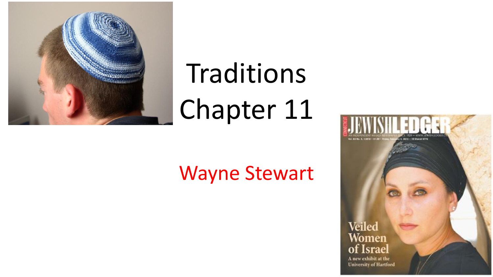

# Traditions Chapter 11

#### Wayne Stewart

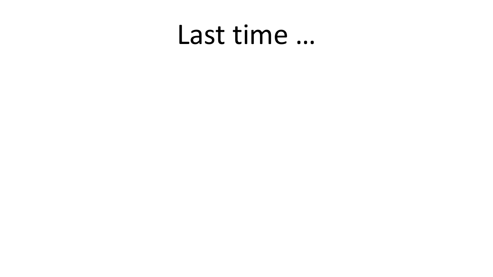#### Last time …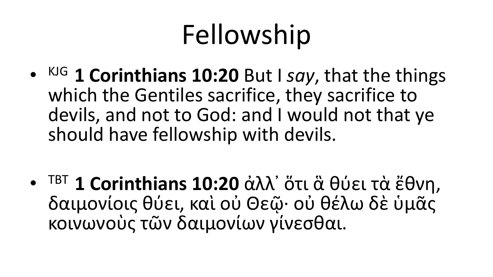## Fellowship

• KJG **1 Corinthians 10:20** But I *say*, that the things which the Gentiles sacrifice, they sacrifice to devils, and not to God: and I would not that ye should have fellowship with devils.

• TBT **1 Corinthians 10:20** ἀλλ᾽ ὅτι ἃ θύει τὰ ἔθνη, δαιμονίοις θύει, καὶ οὐ Θεῷ· οὐ θέλω δὲ ὑμᾶς κοινωνοὺς τῶν δαιμονίων γίνεσθαι.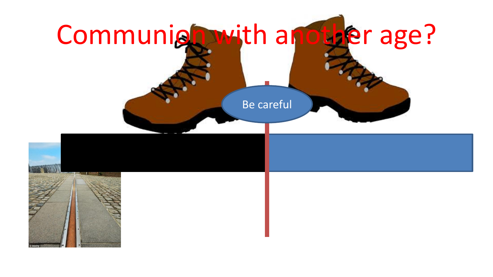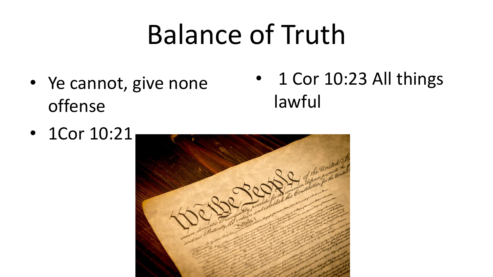#### Balance of Truth

• Ye cannot, give none offense

• 1 Cor 10:23 All things lawful

• 1Cor 10:21

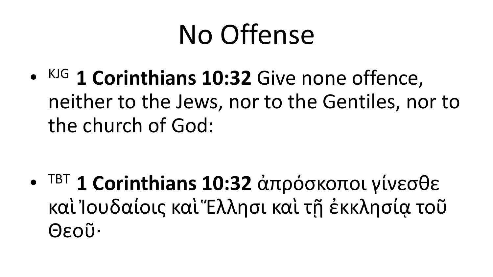#### No Offense

• KJG **1 Corinthians 10:32** Give none offence, neither to the Jews, nor to the Gentiles, nor to the church of God:

• TBT **1 Corinthians 10:32** ἀπρόσκοποι γίνεσθε καὶ Ἰουδαίοις καὶ Ἐλλησι καὶ τῆ ἐκκλησία τοῦ Θεοῦ·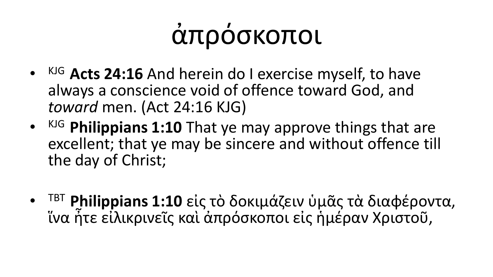## ἀπρόσκοποι

- KJG **Acts 24:16** And herein do I exercise myself, to have always a conscience void of offence toward God, and *toward* men. (Act 24:16 KJG)
- KJG **Philippians 1:10** That ye may approve things that are excellent; that ye may be sincere and without offence till the day of Christ;
- TBT **Philippians 1:10** εἰς τὸ δοκιμάζειν ὑμᾶς τὰ διαφέροντα, ἵνα ἦτε εἰλικρινεῖς καὶ ἀπρόσκοποι εἰς ἡμέραν Χριστοῦ,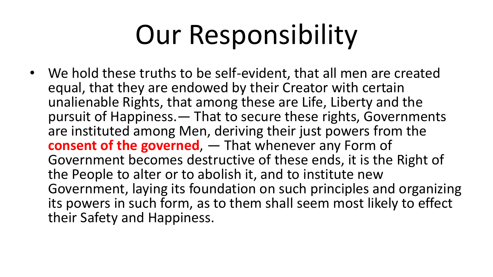## Our Responsibility

• We hold these truths to be self-evident, that all men are created equal, that they are endowed by their Creator with certain unalienable Rights, that among these are Life, Liberty and the pursuit of Happiness.— That to secure these rights, Governments are instituted among Men, deriving their just powers from the **consent of the governed**, — That whenever any Form of Government becomes destructive of these ends, it is the Right of the People to alter or to abolish it, and to institute new Government, laying its foundation on such principles and organizing its powers in such form, as to them shall seem most likely to effect their Safety and Happiness.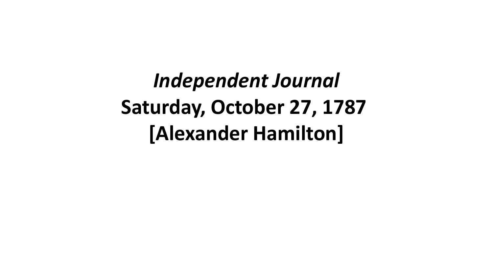*Independent Journal* **Saturday, October 27, 1787 [Alexander Hamilton]**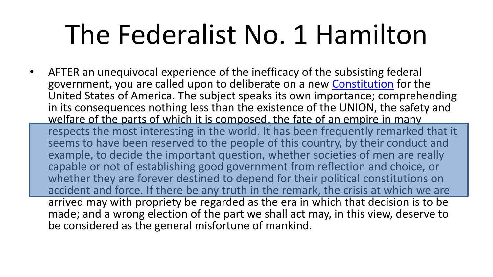#### The Federalist No. 1 Hamilton

• AFTER an unequivocal experience of the inefficacy of the subsisting federal government, you are called upon to deliberate on a new [Constitution](http://www.constitution.org/cons/india/const.html) for the United States of America. The subject speaks its own importance; comprehending in its consequences nothing less than the existence of the UNION, the safety and welfare of the parts of which it is composed, the fate of an empire in many

respects the most interesting in the world. It has been frequently remarked that it seems to have been reserved to the people of this country, by their conduct and example, to decide the important question, whether societies of men are really capable or not of establishing good government from reflection and choice, or whether they are forever destined to depend for their political constitutions on accident and force. If there be any truth in the remark, the crisis at which we are arrived may with propriety be regarded as the era in which that decision is to be made; and a wrong election of the part we shall act may, in this view, deserve to be considered as the general misfortune of mankind.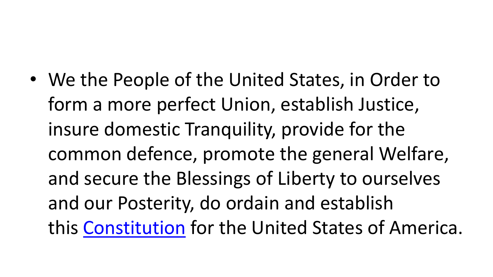• We the People of the United States, in Order to form a more perfect Union, establish Justice, insure domestic Tranquility, provide for the common defence, promote the general Welfare, and secure the Blessings of Liberty to ourselves and our Posterity, do ordain and establish this [Constitution](http://www.constitution.org/cons/india/const.html) for the United States of America.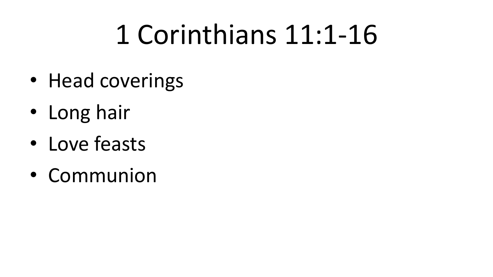#### 1 Corinthians 11:1-16

- Head coverings
- Long hair
- Love feasts
- Communion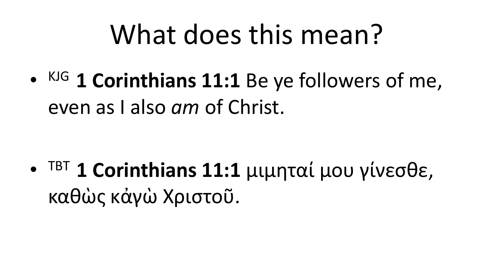#### What does this mean?

• KJG **1 Corinthians 11:1** Be ye followers of me, even as I also *am* of Christ.

• TBT **1 Corinthians 11:1** μιμηταί μου γίνεσθε, καθὼς κἀγὼ Χριστοῦ.